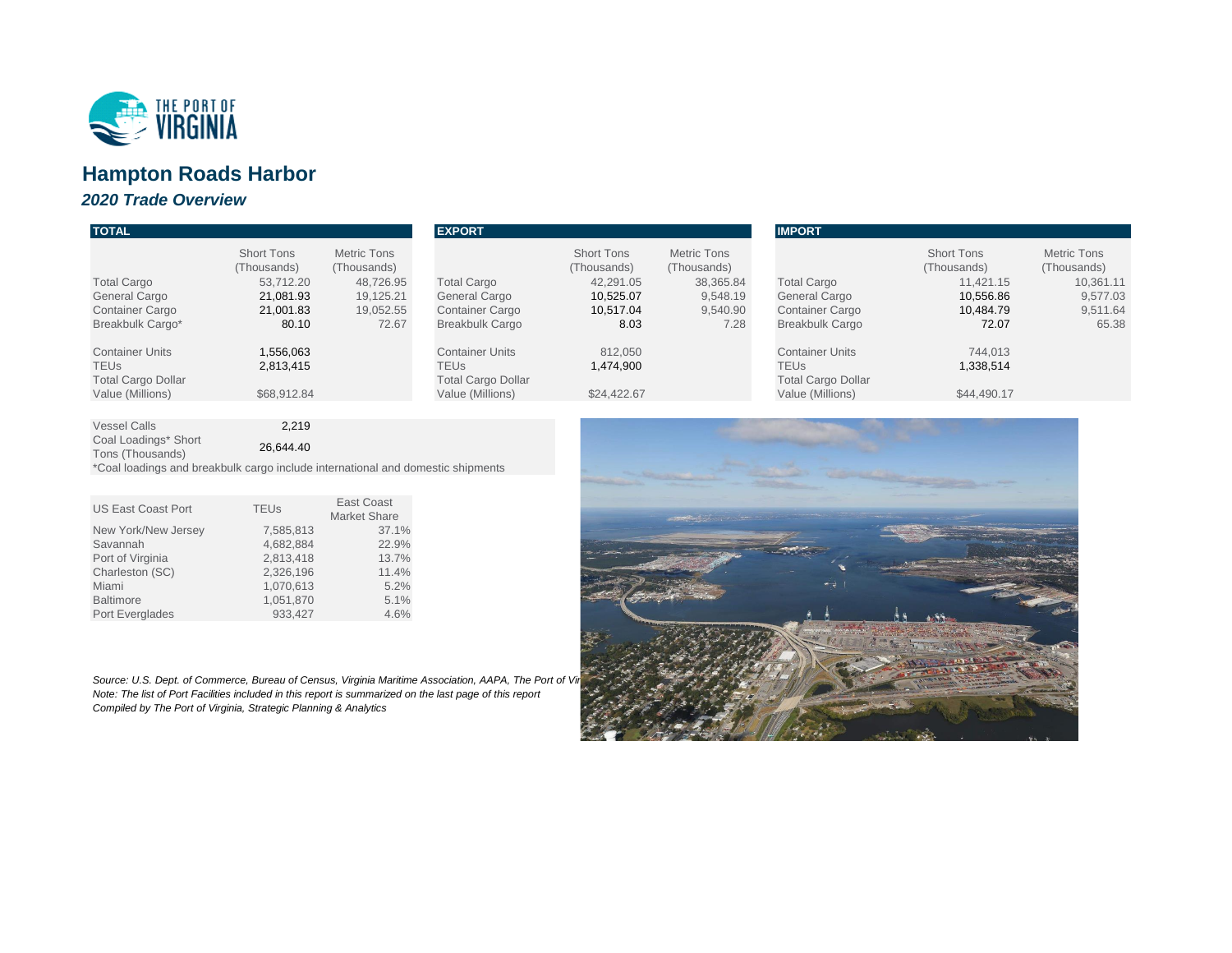| <b>TOTAL</b>                                                                             |                                                                                  |                                                                                   | <b>EXPORT</b>                                                                                  |                                                                                 |                                                                                | <b>IMPORT</b>                                                                                  |                                                                                  |                                                                                 |
|------------------------------------------------------------------------------------------|----------------------------------------------------------------------------------|-----------------------------------------------------------------------------------|------------------------------------------------------------------------------------------------|---------------------------------------------------------------------------------|--------------------------------------------------------------------------------|------------------------------------------------------------------------------------------------|----------------------------------------------------------------------------------|---------------------------------------------------------------------------------|
| <b>Total Cargo</b><br><b>General Cargo</b><br><b>Container Cargo</b><br>Breakbulk Cargo* | <b>Short Tons</b><br>(Thousands)<br>53,712.20<br>21,081.93<br>21,001.83<br>80.10 | <b>Metric Tons</b><br>(Thousands)<br>48,726.95<br>19,125.21<br>19,052.55<br>72.67 | <b>Total Cargo</b><br><b>General Cargo</b><br><b>Container Cargo</b><br><b>Breakbulk Cargo</b> | <b>Short Tons</b><br>(Thousands)<br>42,291.05<br>10,525.07<br>10,517.04<br>8.03 | <b>Metric Tons</b><br>(Thousands)<br>38,365.84<br>9,548.19<br>9,540.90<br>7.28 | <b>Total Cargo</b><br><b>General Cargo</b><br><b>Container Cargo</b><br><b>Breakbulk Cargo</b> | <b>Short Tons</b><br>(Thousands)<br>11,421.15<br>10,556.86<br>10,484.79<br>72.07 | <b>Metric Tons</b><br>(Thousands)<br>10,361.11<br>9,577.03<br>9,511.64<br>65.38 |
| <b>Container Units</b><br>TEUs.<br><b>Total Cargo Dollar</b><br>Value (Millions)         | ,556,063<br>2,813,415<br>\$68,912.84                                             |                                                                                   | <b>Container Units</b><br><b>TEUs</b><br><b>Total Cargo Dollar</b><br>Value (Millions)         | 812,050<br>1,474,900<br>\$24,422.67                                             |                                                                                | <b>Container Units</b><br><b>TEUs</b><br><b>Total Cargo Dollar</b><br>Value (Millions)         | 744,013<br>1,338,514<br>\$44,490.17                                              |                                                                                 |
|                                                                                          | .                                                                                |                                                                                   |                                                                                                |                                                                                 |                                                                                |                                                                                                |                                                                                  |                                                                                 |

Vessel Calls 2,219 Coal Loadings\* Short

Ebachings Short<br>Tons (Thousands) 26,644.40

*Source: U.S. Dept. of Commerce, Bureau of Census, Virginia Maritime Association, AAPA, The Port of Vi Note: The list of Port Facilities included in this report is summarized on the last page of this report Compiled by The Port of Virginia, Strategic Planning & Analytics*



\*Coal loadings and breakbulk cargo include international and domestic shipments

| <b>US East Coast Port</b> | <b>TEUs</b> | <b>East Coast</b>   |  |
|---------------------------|-------------|---------------------|--|
|                           |             | <b>Market Share</b> |  |
| New York/New Jersey       | 7,585,813   | 37.1%               |  |
| Savannah                  | 4,682,884   | 22.9%               |  |
| Port of Virginia          | 2,813,418   | 13.7%               |  |
| Charleston (SC)           | 2,326,196   | 11.4%               |  |
| Miami                     | 1,070,613   | 5.2%                |  |
| <b>Baltimore</b>          | 1,051,870   | 5.1%                |  |
| Port Everglades           | 933,427     | 4.6%                |  |



# **Hampton Roads Harbor**

# *2020 Trade Overview*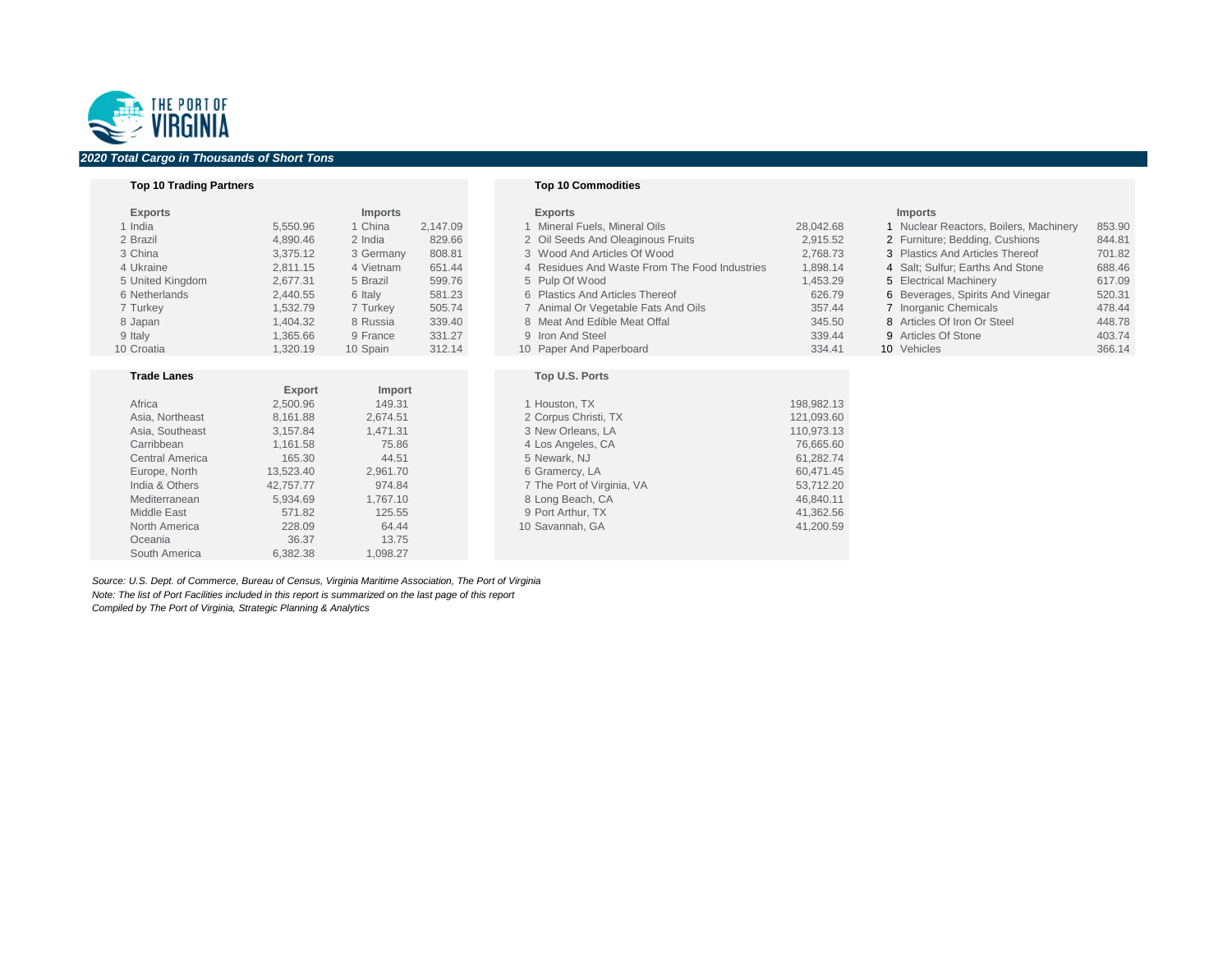### **Top 10 Trading Partners Top 10 Commodities**

| <b>Exports</b>         |               | <b>Imports</b> |          | <b>Exports</b>                                |            | <b>Imports</b>                         |        |
|------------------------|---------------|----------------|----------|-----------------------------------------------|------------|----------------------------------------|--------|
| 1 India                | 5,550.96      | 1 China        | 2,147.09 | 1 Mineral Fuels, Mineral Oils                 | 28,042.68  | 1 Nuclear Reactors, Boilers, Machinery | 853.90 |
| 2 Brazil               | 4,890.46      | 2 India        | 829.66   | 2 Oil Seeds And Oleaginous Fruits             | 2,915.52   | 2 Furniture; Bedding, Cushions         | 844.81 |
| 3 China                | 3,375.12      | 3 Germany      | 808.81   | 3 Wood And Articles Of Wood                   | 2,768.73   | 3 Plastics And Articles Thereof        | 701.82 |
| 4 Ukraine              | 2,811.15      | 4 Vietnam      | 651.44   | 4 Residues And Waste From The Food Industries | 1,898.14   | 4 Salt; Sulfur; Earths And Stone       | 688.46 |
| 5 United Kingdom       | 2,677.31      | 5 Brazil       | 599.76   | 5 Pulp Of Wood                                | 1,453.29   | 5 Electrical Machinery                 | 617.09 |
| 6 Netherlands          | 2,440.55      | 6 Italy        | 581.23   | 6 Plastics And Articles Thereof               | 626.79     | 6 Beverages, Spirits And Vinegar       | 520.31 |
| 7 Turkey               | 1,532.79      | 7 Turkey       | 505.74   | 7 Animal Or Vegetable Fats And Oils           | 357.44     | 7 Inorganic Chemicals                  | 478.44 |
| 8 Japan                | 1,404.32      | 8 Russia       | 339.40   | 8 Meat And Edible Meat Offal                  | 345.50     | 8 Articles Of Iron Or Steel            | 448.78 |
| 9 Italy                | 1,365.66      | 9 France       | 331.27   | 9 Iron And Steel                              | 339.44     | 9 Articles Of Stone                    | 403.74 |
| 10 Croatia             | 1,320.19      | 10 Spain       | 312.14   | 10 Paper And Paperboard                       | 334.41     | 10 Vehicles                            | 366.14 |
|                        |               |                |          |                                               |            |                                        |        |
| <b>Trade Lanes</b>     |               |                |          | Top U.S. Ports                                |            |                                        |        |
|                        | <b>Export</b> | Import         |          |                                               |            |                                        |        |
| Africa                 | 2,500.96      | 149.31         |          | 1 Houston, TX                                 | 198,982.13 |                                        |        |
| Asia, Northeast        | 8,161.88      | 2,674.51       |          | 2 Corpus Christi, TX                          | 121,093.60 |                                        |        |
| Asia, Southeast        | 3,157.84      | 1,471.31       |          | 3 New Orleans, LA                             | 110,973.13 |                                        |        |
| Carribbean             | 1,161.58      | 75.86          |          | 4 Los Angeles, CA                             | 76,665.60  |                                        |        |
| <b>Central America</b> | 165.30        | 44.51          |          | 5 Newark, NJ                                  | 61,282.74  |                                        |        |
| Europe, North          | 13,523.40     | 2,961.70       |          | 6 Gramercy, LA                                | 60,471.45  |                                        |        |
| India & Others         | 42,757.77     | 974.84         |          | 7 The Port of Virginia, VA                    | 53,712.20  |                                        |        |
| Mediterranean          | 5,934.69      | 1,767.10       |          | 8 Long Beach, CA                              | 46,840.11  |                                        |        |
| <b>Middle East</b>     | 571.82        | 125.55         |          | 9 Port Arthur, TX                             | 41,362.56  |                                        |        |
| <b>North America</b>   | 228.09        | 64.44          |          | 10 Savannah, GA                               | 41,200.59  |                                        |        |
| Oceania                | 36.37         | 13.75          |          |                                               |            |                                        |        |

*Source: U.S. Dept. of Commerce, Bureau of Census, Virginia Maritime Association, The Port of Virginia Note: The list of Port Facilities included in this report is summarized on the last page of this report Compiled by The Port of Virginia, Strategic Planning & Analytics*

South America 6,382.38 1,098.27

| <b>Imports</b>                         |        |
|----------------------------------------|--------|
| 1 Nuclear Reactors, Boilers, Machinery | 853.90 |
| 2 Furniture; Bedding, Cushions         | 844.81 |
| 3 Plastics And Articles Thereof        | 701.82 |
| 4 Salt; Sulfur; Earths And Stone       | 688.46 |
| 5 Electrical Machinery                 | 617.09 |
| 6 Beverages, Spirits And Vinegar       | 520.31 |
| 7 Inorganic Chemicals                  | 478.44 |
| 8 Articles Of Iron Or Steel            | 448.78 |
| 9 Articles Of Stone                    | 403.74 |
| 0 Vehicles                             | 366.14 |



# *2020 Total Cargo in Thousands of Short Tons*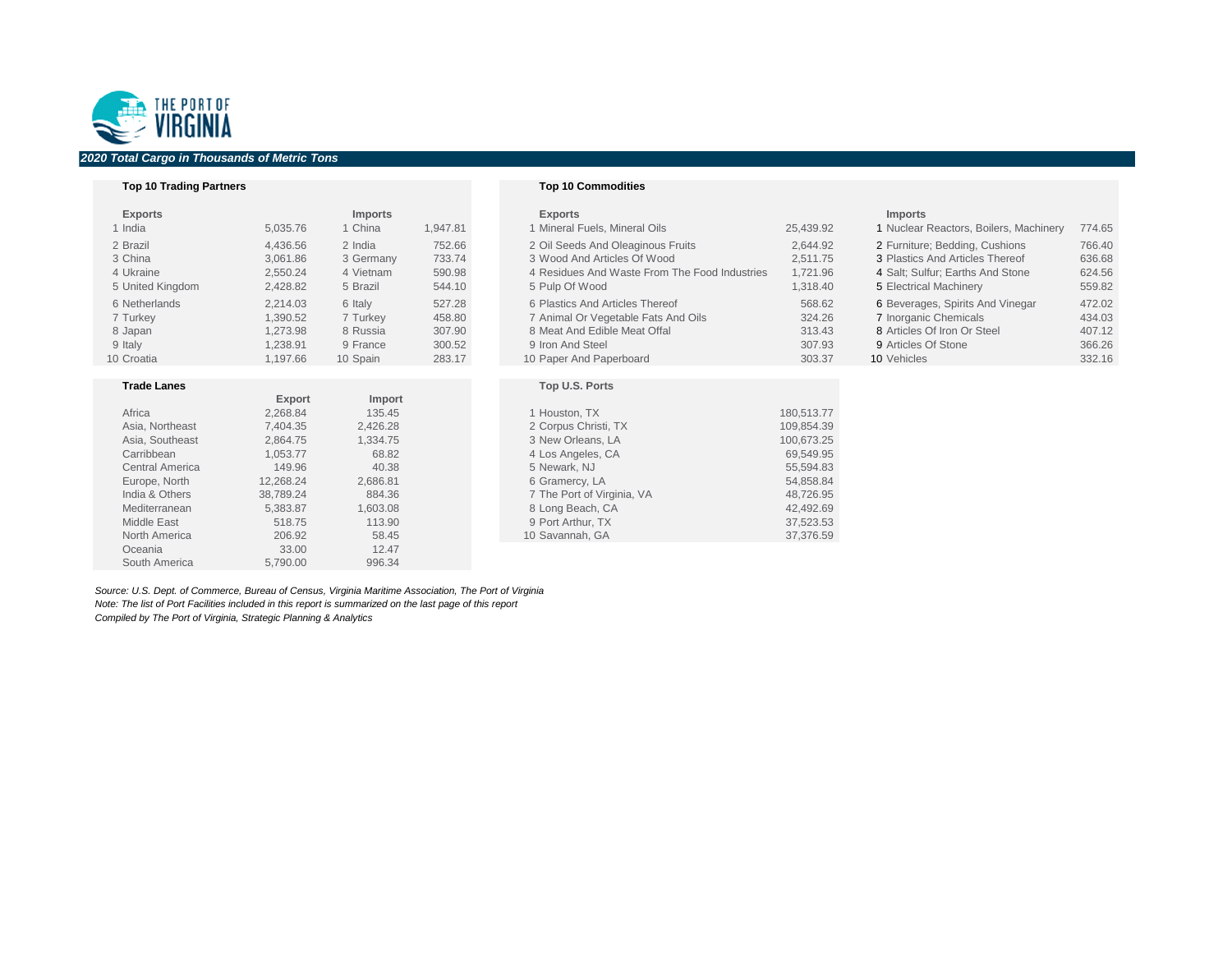### **Top 10 Trading Partners Top 10 Commodities**

| <b>Exports</b>   |          | <b>Imports</b> |          | <b>Exports</b>                                |           | <b>Imports</b>                         |        |
|------------------|----------|----------------|----------|-----------------------------------------------|-----------|----------------------------------------|--------|
| 1 India          | 5,035.76 | 1 China        | 1,947.81 | 1 Mineral Fuels, Mineral Oils                 | 25,439.92 | 1 Nuclear Reactors, Boilers, Machinery | 774.65 |
| 2 Brazil         | 4,436.56 | 2 India        | 752.66   | 2 Oil Seeds And Oleaginous Fruits             | 2,644.92  | 2 Furniture; Bedding, Cushions         | 766.40 |
| 3 China          | 3,061.86 | 3 Germany      | 733.74   | 3 Wood And Articles Of Wood                   | 2,511.75  | 3 Plastics And Articles Thereof        | 636.68 |
| 4 Ukraine        | 2,550.24 | 4 Vietnam      | 590.98   | 4 Residues And Waste From The Food Industries | 1,721.96  | 4 Salt; Sulfur; Earths And Stone       | 624.56 |
| 5 United Kingdom | 2,428.82 | 5 Brazil       | 544.10   | 5 Pulp Of Wood                                | 1,318.40  | 5 Electrical Machinery                 | 559.82 |
| 6 Netherlands    | 2,214.03 | 6 Italy        | 527.28   | 6 Plastics And Articles Thereof               | 568.62    | 6 Beverages, Spirits And Vinegar       | 472.02 |
| 7 Turkey         | 1,390.52 | 7 Turkey       | 458.80   | 7 Animal Or Vegetable Fats And Oils           | 324.26    | 7 Inorganic Chemicals                  | 434.03 |
| 8 Japan          | 1,273.98 | 8 Russia       | 307.90   | 8 Meat And Edible Meat Offal                  | 313.43    | 8 Articles Of Iron Or Steel            | 407.12 |
| 9 Italy          | 1,238.91 | 9 France       | 300.52   | 9 Iron And Steel                              | 307.93    | 9 Articles Of Stone                    | 366.26 |
| 10 Croatia       | 1,197.66 | 10 Spain       | 283.17   | 10 Paper And Paperboard                       | 303.37    | 10 Vehicles                            | 332.16 |
|                  |          |                |          |                                               |           |                                        |        |

### **Trade Lanes Top U.S. Ports**

| Africa                 | 2,268.84  | 135.45   | 1 Houston, TX              | 180,513.77 |
|------------------------|-----------|----------|----------------------------|------------|
| Asia, Northeast        | 7,404.35  | 2,426.28 | 2 Corpus Christi, TX       | 109,854.39 |
| Asia, Southeast        | 2,864.75  | 1,334.75 | 3 New Orleans, LA          | 100,673.25 |
| Carribbean             | 1,053.77  | 68.82    | 4 Los Angeles, CA          | 69,549.95  |
| <b>Central America</b> | 149.96    | 40.38    | 5 Newark, NJ               | 55,594.83  |
| Europe, North          | 12,268.24 | 2,686.81 | 6 Gramercy, LA             | 54,858.84  |
| India & Others         | 38,789.24 | 884.36   | 7 The Port of Virginia, VA | 48,726.95  |
| Mediterranean          | 5,383.87  | 1,603.08 | 8 Long Beach, CA           | 42,492.69  |
| <b>Middle East</b>     | 518.75    | 113.90   | 9 Port Arthur, TX          | 37,523.53  |
| <b>North America</b>   | 206.92    | 58.45    | 10 Savannah, GA            | 37,376.59  |
|                        |           |          |                            |            |

|                        | <b>Export</b> | <b>Import</b> |
|------------------------|---------------|---------------|
| Africa                 | 2,268.84      | 135.45        |
| Asia, Northeast        | 7,404.35      | 2,426.28      |
| Asia, Southeast        | 2,864.75      | 1,334.75      |
| Carribbean             | 1,053.77      | 68.82         |
| <b>Central America</b> | 149.96        | 40.38         |
| Europe, North          | 12,268.24     | 2,686.81      |
| India & Others         | 38,789.24     | 884.36        |
| Mediterranean          | 5,383.87      | 1,603.08      |
| <b>Middle East</b>     | 518.75        | 113.90        |
| <b>North America</b>   | 206.92        | 58.45         |
| Oceania                | 33.00         | 12.47         |
| South America          | 5,790.00      | 996.34        |

| <b>XDOLLS</b> |
|---------------|
|---------------|

| 1 Mineral Fuels, Mineral Oils                 | 25,439.92 |  |
|-----------------------------------------------|-----------|--|
| 2 Oil Seeds And Oleaginous Fruits             | 2,644.92  |  |
| 3 Wood And Articles Of Wood                   | 2,511.75  |  |
| 4 Residues And Waste From The Food Industries | 1,721.96  |  |
| 5 Pulp Of Wood                                | 1,318.40  |  |
| 6 Plastics And Articles Thereof               | 568.62    |  |
| 7 Animal Or Vegetable Fats And Oils           | 324.26    |  |
| 8 Meat And Edible Meat Offal                  | 313.43    |  |
| 9 Iron And Steel                              | 307.93    |  |
| 10 Paper And Paperboard                       | 303.37    |  |

*Source: U.S. Dept. of Commerce, Bureau of Census, Virginia Maritime Association, The Port of Virginia Note: The list of Port Facilities included in this report is summarized on the last page of this report Compiled by The Port of Virginia, Strategic Planning & Analytics*

| <b>Imports</b> |  |
|----------------|--|
|----------------|--|

| Nuclear Reactors, Boilers, Machinery | 774.65 |
|--------------------------------------|--------|
| Furniture; Bedding, Cushions         | 766.40 |
| <b>Plastics And Articles Thereof</b> | 636.68 |
| Salt; Sulfur; Earths And Stone       | 624.56 |
| <b>Electrical Machinery</b>          | 559.82 |
| Beverages, Spirits And Vinegar       | 472.02 |
| <b>Inorganic Chemicals</b>           | 434.03 |
| Articles Of Iron Or Steel            | 407.12 |
| <b>Articles Of Stone</b>             | 366.26 |
| Vahiolog                             | 22216  |



# *2020 Total Cargo in Thousands of Metric Tons*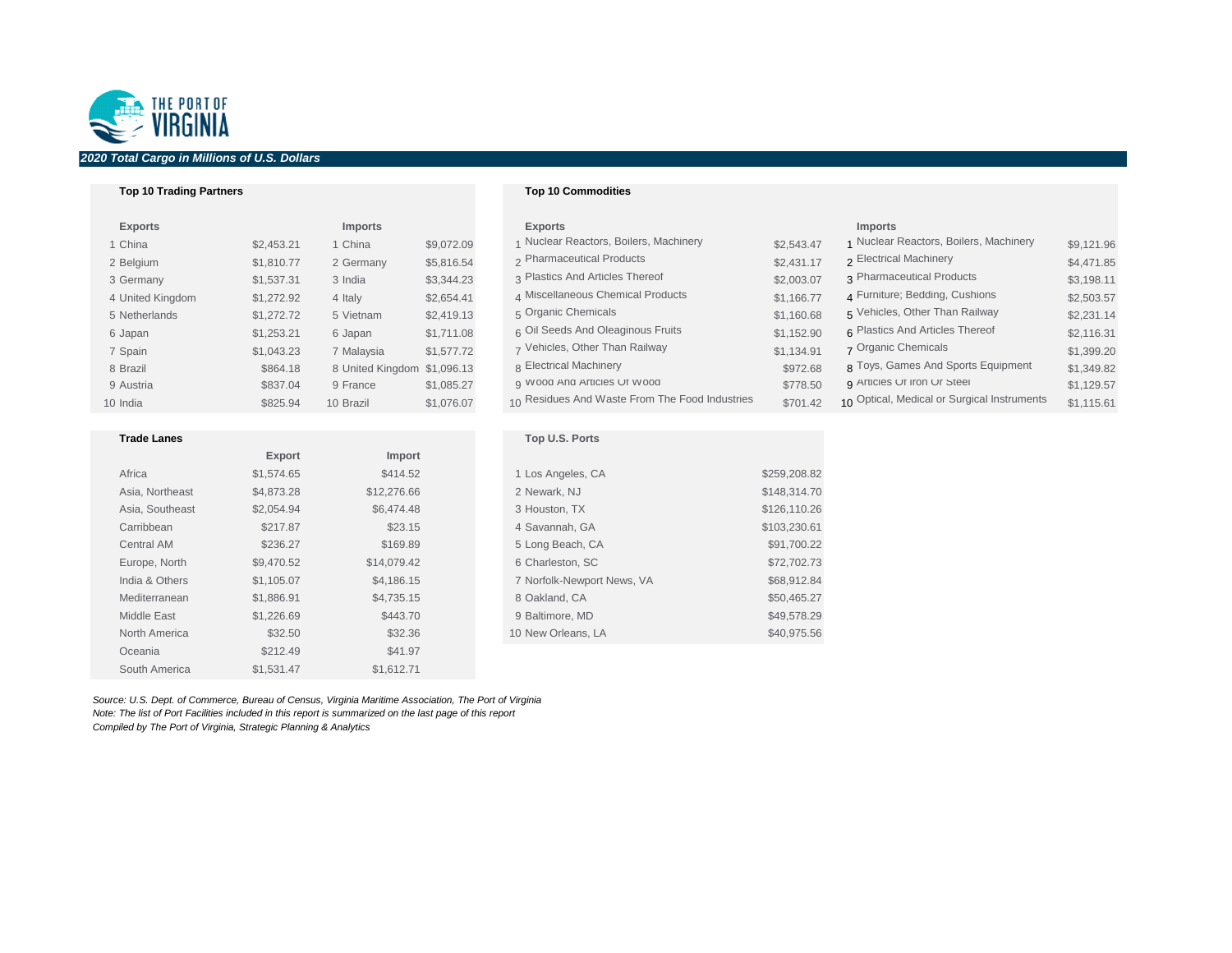## **Top 10 Trading Partners Top 10 Commodities**

| <b>Exports</b>   |            | <b>Imports</b>              |            | <b>Exports</b>                                 |            | <b>Imports</b>                              |            |
|------------------|------------|-----------------------------|------------|------------------------------------------------|------------|---------------------------------------------|------------|
| 1 China          | \$2,453.21 | 1 China                     | \$9,072.09 | 1 Nuclear Reactors, Boilers, Machinery         | \$2,543.47 | 1 Nuclear Reactors, Boilers, Machinery      | \$9,121.96 |
| 2 Belgium        | \$1,810.77 | 2 Germany                   | \$5,816.54 | 2 Pharmaceutical Products                      | \$2,431.17 | 2 Electrical Machinery                      | \$4,471.85 |
| 3 Germany        | \$1,537.31 | 3 India                     | \$3,344.23 | 3 Plastics And Articles Thereof                | \$2,003.07 | 3 Pharmaceutical Products                   | \$3,198.11 |
| 4 United Kingdom | \$1,272.92 | 4 Italy                     | \$2,654.41 | 4 Miscellaneous Chemical Products              | \$1,166.77 | 4 Furniture; Bedding, Cushions              | \$2,503.57 |
| 5 Netherlands    | \$1,272.72 | 5 Vietnam                   | \$2,419.13 | 5 Organic Chemicals                            | \$1,160.68 | 5 Vehicles, Other Than Railway              | \$2,231.14 |
| 6 Japan          | \$1,253.21 | 6 Japan                     | \$1,711.08 | 6 Oil Seeds And Oleaginous Fruits              | \$1,152.90 | 6 Plastics And Articles Thereof             | \$2,116.31 |
| 7 Spain          | \$1,043.23 | 7 Malaysia                  | \$1,577.72 | 7 Vehicles, Other Than Railway                 | \$1,134.91 | 7 Organic Chemicals                         | \$1,399.20 |
| 8 Brazil         | \$864.18   | 8 United Kingdom \$1,096.13 |            | 8 Electrical Machinery                         | \$972.68   | 8 Toys, Games And Sports Equipment          | \$1,349.82 |
| 9 Austria        | \$837.04   | 9 France                    | \$1,085.27 | g VVOOD AND ARTICIES UT VVOOD                  | \$778.50   | g Articles Ut Iron Ur Steel                 | \$1,129.57 |
| 10 India         | \$825.94   | 10 Brazil                   | \$1,076.07 | 10 Residues And Waste From The Food Industries | \$701.42   | 10 Optical, Medical or Surgical Instruments | \$1,115.61 |

| <b>Top U.S. Ports</b>      |              |
|----------------------------|--------------|
| 1 Los Angeles, CA          | \$259,208.82 |
| 2 Newark, NJ               | \$148,314.70 |
| 3 Houston, TX              | \$126,110.26 |
| 4 Savannah, GA             | \$103,230.61 |
| 5 Long Beach, CA           | \$91,700.22  |
| 6 Charleston, SC           | \$72,702.73  |
| 7 Norfolk-Newport News, VA | \$68,912.84  |
| 8 Oakland, CA              | \$50,465.27  |
| 9 Baltimore, MD            | \$49,578.29  |
| 10 New Orleans, LA         | \$40,975.56  |
|                            |              |

| <b>Exports</b>   |            | <b>Imports</b>              |            | <b>Exports</b>                                 |            |                |
|------------------|------------|-----------------------------|------------|------------------------------------------------|------------|----------------|
| 1 China          | \$2,453.21 | 1 China                     | \$9,072.09 | 1 Nuclear Reactors, Boilers, Machinery         | \$2,543.47 |                |
| 2 Belgium        | \$1,810.77 | 2 Germany                   | \$5,816.54 | 2 Pharmaceutical Products                      | \$2,431.17 | $\overline{2}$ |
| 3 Germany        | \$1,537.31 | 3 India                     | \$3,344.23 | 3 Plastics And Articles Thereof                | \$2,003.07 | 3              |
| 4 United Kingdom | \$1,272.92 | 4 Italy                     | \$2,654.41 | 4 Miscellaneous Chemical Products              | \$1,166.77 | 4              |
| 5 Netherlands    | \$1,272.72 | 5 Vietnam                   | \$2,419.13 | 5 Organic Chemicals                            | \$1,160.68 | 5              |
| 6 Japan          | \$1,253.21 | 6 Japan                     | \$1,711.08 | 6 Oil Seeds And Oleaginous Fruits              | \$1,152.90 | 6              |
| 7 Spain          | \$1,043.23 | 7 Malaysia                  | \$1,577.72 | 7 Vehicles, Other Than Railway                 | \$1,134.91 |                |
| 8 Brazil         | \$864.18   | 8 United Kingdom \$1,096.13 |            | 8 Electrical Machinery                         | \$972.68   | 8              |
| 9 Austria        | \$837.04   | 9 France                    | \$1,085.27 | g VVOOD AND ARTICIES UT VVOOD                  | \$778.50   | 9              |
| 10 India         | \$825.94   | 10 Brazil                   | \$1,076.07 | 10 Residues And Waste From The Food Industries | \$701.42   | 10             |
|                  |            |                             |            |                                                |            |                |

# **Trade Lanes Export Import** Africa \$1,574.65 \$414.52 1 Los Angeles, CA \$259,208.82 Asia, Northeast \$4,873.28 \$12,276.66 2 Newark, NJ \$148,314.70 Asia, Southeast  $$2,054.94$  \$6,474.48 Carribbean \$217.87 \$23.15 4 Savannah, GA \$103,230.61 Central AM  $$236.27$   $$169.89$  5 Long Beach, CA  $$91,700.22$ Europe, North \$9,470.52 \$14,079.42 India & Others \$1,105.07 \$4,186.15 7 Norfolk-Newport News, VA \$68,912.84 Mediterranean \$1,886.91 \$4,735.15 \$4,735.15 \$4,735.15 \$50,465.27 Middle East  $$1,226.69$   $$443.70$  9 Baltimore, MD  $$49,578.29$ North America 632.50 \$32.50 \$32.36 \$32.36 \$32.36 \$32.36 \$40,975.56 Oceania  $$212.49$   $$41.97$ South America  $$1,531.47$   $$1,612.71$

*Source: U.S. Dept. of Commerce, Bureau of Census, Virginia Maritime Association, The Port of Virginia Note: The list of Port Facilities included in this report is summarized on the last page of this report Compiled by The Port of Virginia, Strategic Planning & Analytics*